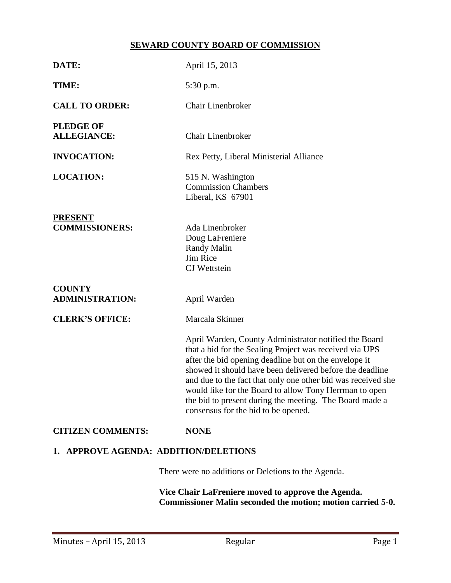# **SEWARD COUNTY BOARD OF COMMISSION**

| DATE:                                               | April 15, 2013                                                                                                                                                                                                                                                                                                                                                                                                                                                    |  |  |  |
|-----------------------------------------------------|-------------------------------------------------------------------------------------------------------------------------------------------------------------------------------------------------------------------------------------------------------------------------------------------------------------------------------------------------------------------------------------------------------------------------------------------------------------------|--|--|--|
|                                                     |                                                                                                                                                                                                                                                                                                                                                                                                                                                                   |  |  |  |
| TIME:                                               | 5:30 p.m.                                                                                                                                                                                                                                                                                                                                                                                                                                                         |  |  |  |
| <b>CALL TO ORDER:</b>                               | <b>Chair Linenbroker</b>                                                                                                                                                                                                                                                                                                                                                                                                                                          |  |  |  |
| <b>PLEDGE OF</b><br><b>ALLEGIANCE:</b>              | Chair Linenbroker                                                                                                                                                                                                                                                                                                                                                                                                                                                 |  |  |  |
| <b>INVOCATION:</b>                                  | Rex Petty, Liberal Ministerial Alliance                                                                                                                                                                                                                                                                                                                                                                                                                           |  |  |  |
| <b>LOCATION:</b>                                    | 515 N. Washington<br><b>Commission Chambers</b><br>Liberal, KS 67901                                                                                                                                                                                                                                                                                                                                                                                              |  |  |  |
| <b>PRESENT</b><br><b>COMMISSIONERS:</b>             | Ada Linenbroker<br>Doug LaFreniere<br><b>Randy Malin</b><br>Jim Rice<br><b>CJ</b> Wettstein                                                                                                                                                                                                                                                                                                                                                                       |  |  |  |
| <b>COUNTY</b><br><b>ADMINISTRATION:</b>             | April Warden                                                                                                                                                                                                                                                                                                                                                                                                                                                      |  |  |  |
| <b>CLERK'S OFFICE:</b>                              | Marcala Skinner                                                                                                                                                                                                                                                                                                                                                                                                                                                   |  |  |  |
|                                                     | April Warden, County Administrator notified the Board<br>that a bid for the Sealing Project was received via UPS<br>after the bid opening deadline but on the envelope it<br>showed it should have been delivered before the deadline<br>and due to the fact that only one other bid was received she<br>would like for the Board to allow Tony Herrman to open<br>the bid to present during the meeting. The Board made a<br>consensus for the bid to be opened. |  |  |  |
| <b>CITIZEN COMMENTS:</b>                            | <b>NONE</b>                                                                                                                                                                                                                                                                                                                                                                                                                                                       |  |  |  |
| 1. APPROVE AGENDA: ADDITION/DELETIONS               |                                                                                                                                                                                                                                                                                                                                                                                                                                                                   |  |  |  |
| There were no additions or Deletions to the Agenda. |                                                                                                                                                                                                                                                                                                                                                                                                                                                                   |  |  |  |
| Vice Chair LaFreniere moved to approve the Agenda.  |                                                                                                                                                                                                                                                                                                                                                                                                                                                                   |  |  |  |

**Commissioner Malin seconded the motion; motion carried 5-0.**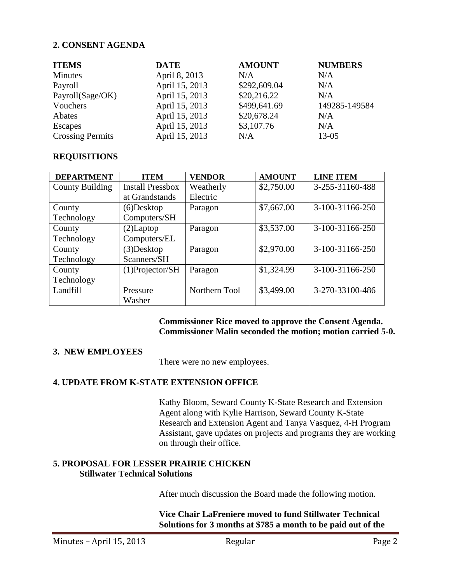### **2. CONSENT AGENDA**

| <b>ITEMS</b>            | <b>DATE</b>    | <b>AMOUNT</b> | <b>NUMBERS</b> |
|-------------------------|----------------|---------------|----------------|
| Minutes                 | April 8, 2013  | N/A           | N/A            |
| Payroll                 | April 15, 2013 | \$292,609.04  | N/A            |
| Payroll(Sage/OK)        | April 15, 2013 | \$20,216.22   | N/A            |
| Vouchers                | April 15, 2013 | \$499,641.69  | 149285-149584  |
| Abates                  | April 15, 2013 | \$20,678.24   | N/A            |
| Escapes                 | April 15, 2013 | \$3,107.76    | N/A            |
| <b>Crossing Permits</b> | April 15, 2013 | N/A           | $13 - 05$      |

#### **REQUISITIONS**

| <b>DEPARTMENT</b>      | <b>ITEM</b>             | <b>VENDOR</b> | <b>AMOUNT</b> | <b>LINE ITEM</b> |
|------------------------|-------------------------|---------------|---------------|------------------|
| <b>County Building</b> | <b>Install Pressbox</b> | Weatherly     | \$2,750.00    | 3-255-31160-488  |
|                        | at Grandstands          | Electric      |               |                  |
| County                 | $(6)$ Desktop           | Paragon       | \$7,667.00    | 3-100-31166-250  |
| Technology             | Computers/SH            |               |               |                  |
| County                 | $(2)$ Laptop            | Paragon       | \$3,537.00    | 3-100-31166-250  |
| Technology             | Computers/EL            |               |               |                  |
| County                 | $(3)$ Desktop           | Paragon       | \$2,970.00    | 3-100-31166-250  |
| Technology             | Scanners/SH             |               |               |                  |
| County                 | $(1)$ Projector/SH      | Paragon       | \$1,324.99    | 3-100-31166-250  |
| Technology             |                         |               |               |                  |
| Landfill               | Pressure                | Northern Tool | \$3,499.00    | 3-270-33100-486  |
|                        | Washer                  |               |               |                  |

### **Commissioner Rice moved to approve the Consent Agenda. Commissioner Malin seconded the motion; motion carried 5-0.**

## **3. NEW EMPLOYEES**

There were no new employees.

## **4. UPDATE FROM K-STATE EXTENSION OFFICE**

Kathy Bloom, Seward County K-State Research and Extension Agent along with Kylie Harrison, Seward County K-State Research and Extension Agent and Tanya Vasquez, 4-H Program Assistant, gave updates on projects and programs they are working on through their office.

## **5. PROPOSAL FOR LESSER PRAIRIE CHICKEN Stillwater Technical Solutions**

After much discussion the Board made the following motion.

**Vice Chair LaFreniere moved to fund Stillwater Technical Solutions for 3 months at \$785 a month to be paid out of the**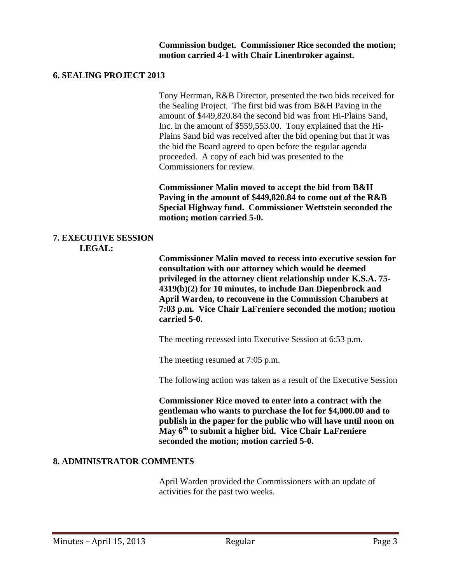#### **6. SEALING PROJECT 2013**

Tony Herrman, R&B Director, presented the two bids received for the Sealing Project. The first bid was from B&H Paving in the amount of \$449,820.84 the second bid was from Hi-Plains Sand, Inc. in the amount of \$559,553.00. Tony explained that the Hi-Plains Sand bid was received after the bid opening but that it was the bid the Board agreed to open before the regular agenda proceeded. A copy of each bid was presented to the Commissioners for review.

**Commissioner Malin moved to accept the bid from B&H Paving in the amount of \$449,820.84 to come out of the R&B Special Highway fund. Commissioner Wettstein seconded the motion; motion carried 5-0.**

#### **7. EXECUTIVE SESSION LEGAL:**

**Commissioner Malin moved to recess into executive session for consultation with our attorney which would be deemed privileged in the attorney client relationship under K.S.A. 75- 4319(b)(2) for 10 minutes, to include Dan Diepenbrock and April Warden, to reconvene in the Commission Chambers at 7:03 p.m. Vice Chair LaFreniere seconded the motion; motion carried 5-0.**

The meeting recessed into Executive Session at 6:53 p.m.

The meeting resumed at 7:05 p.m.

The following action was taken as a result of the Executive Session

**Commissioner Rice moved to enter into a contract with the gentleman who wants to purchase the lot for \$4,000.00 and to publish in the paper for the public who will have until noon on May 6th to submit a higher bid. Vice Chair LaFreniere seconded the motion; motion carried 5-0.**

## **8. ADMINISTRATOR COMMENTS**

April Warden provided the Commissioners with an update of activities for the past two weeks.